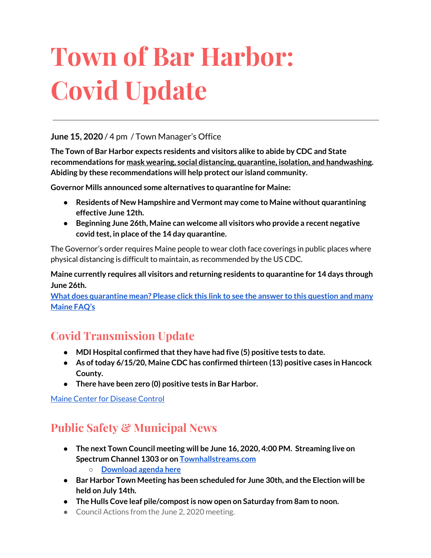# **Town of Bar Harbor: Covid Update**

#### **June 15, 2020** / 4 pm / Town Manager's Office

**The Town of Bar Harbor expects residents and visitors alike to abide by CDC and State recommendations for mask wearing, social distancing, quarantine, isolation, and handwashing. Abiding by these recommendations will help protect our island community.**

**Governor Mills announced some alternatives to quarantine for Maine:**

- **● Residents of New Hampshire and Vermont may come to Maine without quarantining effective June 12th.**
- **● Beginning June 26th, Maine can welcome all visitors who provide a recent negative covid test, in place ofthe 14 day quarantine.**

The Governor's order requires Maine people to wear cloth face coverings in public places where physical distancing is difficult to maintain, as recommended by the US CDC.

**Maine currently requires all visitors and returning residents to quarantine for 14 days through June 26th.**

**What does [quarantine](https://www.maine.gov/dhhs/mecdc/infectious-disease/epi/airborne/coronavirus.shtml#faq) mean? Please click this link to see the answer to this question and many [Maine](https://www.maine.gov/dhhs/mecdc/infectious-disease/epi/airborne/coronavirus.shtml#faq) FAQ's**

## **Covid Transmission Update**

- **● MDI Hospital confirmed thatthey have had five (5) positive tests to date.**
- **● As oftoday 6/15/20, Maine CDC has confirmed thirteen (13) positive cases in Hancock County.**
- **● There have been zero (0) positive tests in Bar Harbor.**

Maine Center for [Disease](https://www.maine.gov/dhhs/mecdc/infectious-disease/epi/airborne/coronavirus.shtml) Control

# **Public Safety & Municipal News**

- **● The next Town Council meeting will be June 16, 2020, 4:00 PM. Streaming live on Spectrum Channel 1303 or on [Townhallstreams.com](http://townhallstreams.com/)**
	- **○ [Download](http://www.barharbormaine.gov/agendacenter) agenda here**
- **● Bar Harbor Town Meeting has been scheduled for June 30th, and the Election will be held on July 14th.**
- **● The Hulls Cove leaf pile/compostis now open on Saturday from 8am to noon.**
- Council Actions from the June 2, 2020 meeting.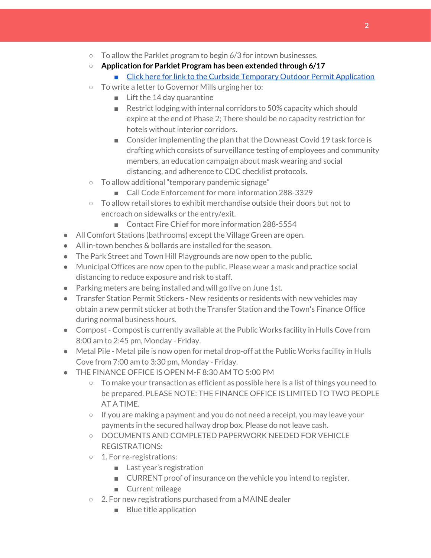- $\circ$  To allow the Parklet program to begin 6/3 for intown businesses.
- **Application for Parklet Program has been extended through 6/17**
	- Click here for link to the Curbside Temporary Outdoor Permit [Application](http://www.barharbormaine.gov/CivicAlerts.aspx?AID=671)
- To write a letter to Governor Mills urging her to:
	- Lift the 14 day quarantine
	- Restrict lodging with internal corridors to 50% capacity which should expire at the end of Phase 2; There should be no capacity restriction for hotels without interior corridors.
	- Consider implementing the plan that the Downeast Covid 19 task force is drafting which consists of surveillance testing of employees and community members, an education campaign about mask wearing and social distancing, and adherence to CDC checklist protocols.
- To allow additional "temporary pandemic signage"
	- Call Code Enforcement for more information 288-3329
- $\circ$  To allow retail stores to exhibit merchandise outside their doors but not to encroach on sidewalks or the entry/exit.
	- Contact Fire Chief for more information 288-5554
- All Comfort Stations (bathrooms) except the Village Green are open.
- All in-town benches & bollards are installed for the season.
- The Park Street and Town Hill Playgrounds are now open to the public.
- Municipal Offices are now open to the public. Please wear a mask and practice social distancing to reduce exposure and risk to staff.
- Parking meters are being installed and will go live on June 1st.
- Transfer Station Permit Stickers New residents or residents with new vehicles may obtain a new permit sticker at both the Transfer Station and the Town's Finance Office during normal business hours.
- Compost Compost is currently available at the Public Works facility in Hulls Cove from 8:00 am to 2:45 pm, Monday - Friday.
- Metal Pile Metal pile is now open for metal drop-off at the Public Works facility in Hulls Cove from 7:00 am to 3:30 pm, Monday - Friday.
- THE FINANCE OFFICE IS OPEN M-F 8:30 AM TO 5:00 PM
	- To make your transaction as efficient as possible here is a list of things you need to be prepared. PLEASE NOTE: THE FINANCE OFFICE IS LIMITED TO TWO PEOPLE AT A TIME.
	- If you are making a payment and you do not need a receipt, you may leave your payments in the secured hallway drop box. Please do not leave cash.
	- DOCUMENTS AND COMPLETED PAPERWORK NEEDED FOR VEHICLE REGISTRATIONS:
	- 1. For re-registrations:
		- Last year's registration
		- CURRENT proof of insurance on the vehicle you intend to register.
		- Current mileage
	- 2. For new registrations purchased from a MAINE dealer
		- Blue title application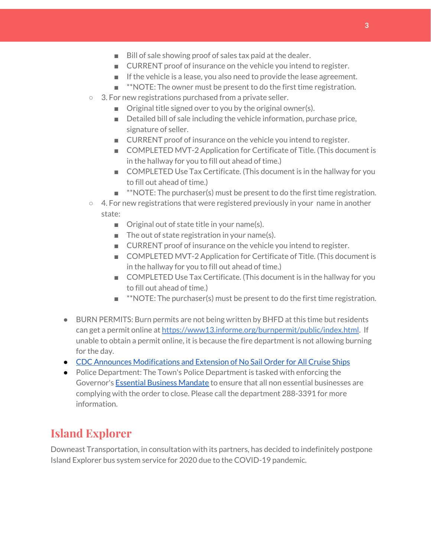- Bill of sale showing proof of sales tax paid at the dealer.
- CURRENT proof of insurance on the vehicle you intend to register.
- If the vehicle is a lease, you also need to provide the lease agreement.
- **\*\*NOTE:** The owner must be present to do the first time registration.
- 3. For new registrations purchased from a private seller.
	- Original title signed over to you by the original owner(s).
	- Detailed bill of sale including the vehicle information, purchase price, signature of seller.
	- CURRENT proof of insurance on the vehicle you intend to register.
	- COMPLETED MVT-2 Application for Certificate of Title. (This document is in the hallway for you to fill out ahead of time.)
	- COMPLETED Use Tax Certificate. (This document is in the hallway for you to fill out ahead of time.)
	- $\blacksquare$  \*\*NOTE: The purchaser(s) must be present to do the first time registration.
- 4. For new registrations that were registered previously in your name in another state:
	- Original out of state title in your name(s).
	- $\blacksquare$  The out of state registration in your name(s).
	- CURRENT proof of insurance on the vehicle you intend to register.
	- COMPLETED MVT-2 Application for Certificate of Title. (This document is in the hallway for you to fill out ahead of time.)
	- COMPLETED Use Tax Certificate. (This document is in the hallway for you to fill out ahead of time.)
	- \*\*NOTE: The purchaser(s) must be present to do the first time registration.
- BURN PERMITS: Burn permits are not being written by BHFD at this time but residents can get a permit online at <https://www13.informe.org/burnpermit/public/index.html>. If unable to obtain a permit online, it is because the fire department is not allowing burning for the day.
- CDC Announces [Modifications](https://www.cdc.gov/media/releases/2020/s0409-modifications-extension-no-sail-ships.html) and Extension of No Sail Order for All Cruise Ships
- Police Department: The Town's Police Department is tasked with enforcing the Governor's Essential Business [Mandate](https://www.maine.gov/governor/mills/sites/maine.gov.governor.mills/files/inline-files/An%20Order%20Regarding%20Essential%20Businesses%20and%20Operations%20.pdf) to ensure that all non essential businesses are complying with the order to close. Please call the department 288-3391 for more information.

#### **Island Explorer**

Downeast Transportation, in consultation with its partners, has decided to indefinitely postpone Island Explorer bus system service for 2020 due to the COVID-19 pandemic.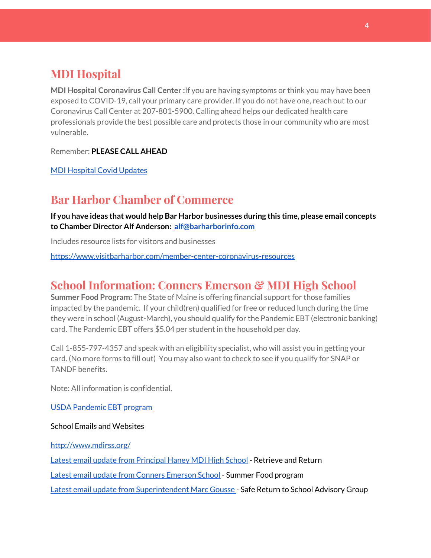# **MDI Hospital**

**MDI Hospital Coronavirus Call Center :**If you are having symptoms or think you may have been exposed to COVID-19, call your primary care provider. If you do not have one, reach out to our Coronavirus Call Center at 207-801-5900. Calling ahead helps our dedicated health care professionals provide the best possible care and protects those in our community who are most vulnerable.

Remember: **PLEASE CALL AHEAD**

MDI [Hospital](https://www.mdihospital.org/covid-19/?fbclid=IwAR2Q31t4a6H1pxDfUeqSzFcmp5UbRlSwe93i58zEkHstfexp5EgoHB5cxGU) Covid Updates

## **Bar Harbor Chamber of Commerce**

**If you have ideas that would help Bar Harbor businesses during this time, please email concepts to Chamber Director Alf Anderson: [alf@barharborinfo.com](mailto:alf@barharborinfo.com)**

Includes resource lists for visitors and businesses

<https://www.visitbarharbor.com/member-center-coronavirus-resources>

## **School Information: Conners Emerson & MDI High School**

**Summer Food Program:** The State of Maine is offering financial support for those families impacted by the pandemic. If your child(ren) qualified for free or reduced lunch during the time they were in school (August-March), you should qualify for the Pandemic EBT (electronic banking) card. The Pandemic EBT offers \$5.04 per student in the household per day.

Call 1-855-797-4357 and speak with an eligibility specialist, who will assist you in getting your card. (No more forms to fill out) You may also want to check to see if you qualify for SNAP or TANDF benefits.

Note: All information is confidential.

USDA [Pandemic](http://track.spe.schoolmessenger.com/f/a/j6GQx4nFl3Rld4Q68tYCuA~~/AAAAAQA~/RgRgu5_JP0SlaHR0cHM6Ly9tYWlsLmdvb2dsZS5jb20vbWFpbC91LzAvP3RhYj1jbSNzZWFyY2gvZnJvbSUzQStiZWVzbGV5L1doY3RLSlZyQ0NUS1JmUldCTFdkUVpGZ2pUVlhNdkRwUVpIa2NoRkJCc3NGcHJxZEtnWFF3S05Tamt3R1RxTFpaS21wTkRHP3Byb2plY3Rvcj0xJm1lc3NhZ2VQYXJ0SWQ9MC4xVwdzY2hvb2xtQgoARkls2l72Ls-jUhhiYXJoYXJib3JqZXdlbEBnbWFpbC5jb21YBAAAAAE~) EBT program

School Emails and Websites

<http://www.mdirss.org/>

Latest email update from [Principal](https://docs.google.com/document/d/1OKDsYNtOgV0FI9xAcXwQvenOKLV0S2vBg1o5jtu5CrE/edit?usp=sharing) Haney MDI High School - Retrieve and Return

Latest email update from Conners [Emerson](https://docs.google.com/document/d/1v3pgkG6Q-9S3gisuUIj4etPVDwgBKl4P00JBkvZr-kk/edit?usp=sharing) School - Summer Food program

Latest email update from [Superintendent](https://docs.google.com/document/d/1fzeCbc8gpTSKmUaDoQH1Avx5PVl-h0reFphXrT1eUNA/edit?usp=sharing) Marc Gousse - Safe Return to School Advisory Group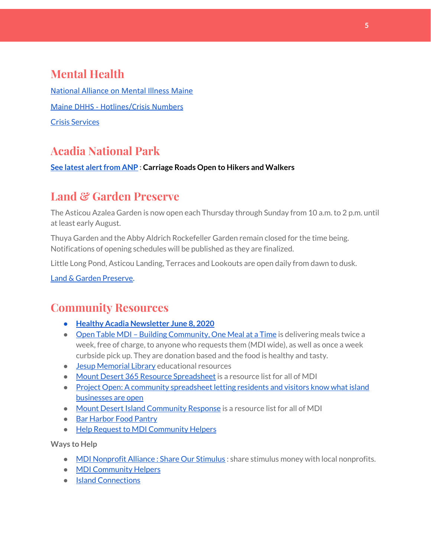# **Mental Health**

[National Alliance on Mental Illness Maine](https://www.namimaine.org/) [Maine DHHS - Hotlines/Crisis Numbers](https://www.maine.gov/dhhs/hotlines.shtml) Crisis [Services](https://www.sweetser.org/programs-services/services-for-adults/crisis-services/)

# **Acadia National Park**

**See latest [alertfrom](https://www.nps.gov/acad/planyourvisit/conditions.htm) ANP : Carriage Roads Open to Hikers and Walkers**

## **Land & Garden Preserve**

The Asticou Azalea Garden is now open each Thursday through Sunday from 10 a.m. to 2 p.m. until at least early August.

Thuya Garden and the Abby Aldrich Rockefeller Garden remain closed for the time being. Notifications of opening schedules will be published as they are finalized.

Little Long Pond, Asticou Landing, Terraces and Lookouts are open daily from dawn to dusk.

Land & Garden [Preserve.](http://r20.rs6.net/tn.jsp?f=001c2c44O_Y4Bmt5GaCvu5yAYkz89M8Lwr9w3wPmKga-jL0VkXmrA_iCBnJWeKd-r-c_wiOF7jNYC-QzXJMviI1ynfM6TwSp8c5otfuaSIRTDcq5nn2rk6dJCDjoN3eBqPHJKFYoFyk9hM2S6_Umc9OISkK5B4CYWoH5SoIKNOTrvM=&c=hkvlfXnwmFjdodNWvqArIvDg3SgMq59MugFS-G4pB0EsTcKrtCXmmw==&ch=dosMVM0pVLoaympYuEEiXtIerW5cx-__Cn3S8zZpZ16TXMeGogAN8g==)

## **Community Resources**

- **● Healthy Acadia [Newsletter](https://mailchi.mp/healthyacadia.org/june8_2020) June 8, 2020**
- Open Table MDI Building [Community,](https://www.opentablemdi.org/) One Meal at a Time is delivering meals twice a week, free of charge, to anyone who requests them (MDI wide), as well as once a week curbside pick up. They are donation based and the food is healthy and tasty.
- **Jesup [Memorial](https://jesuplibrary.org/) Library educational resources**
- Mount Desert 365 Resource [Spreadsheet](https://docs.google.com/spreadsheets/d/1okAx6HSsgXZY9CGH07Dzi6rqe7a6m4dLCPKot2Li7Ek/edit?usp=sharing) is a resource list for all of MDI
- Project Open: A community [spreadsheet](https://docs.google.com/spreadsheets/d/1dBicBiBXGzzWEFd9oqL7EBDbFWjDCPl6SSMea_Kt4pc/htmlview#) letting residents and visitors know what island [businesses](https://docs.google.com/spreadsheets/d/1dBicBiBXGzzWEFd9oqL7EBDbFWjDCPl6SSMea_Kt4pc/htmlview#) are open
- Mount Desert Island [Community](https://www.mdicr.org/) Response is a resource list for all of MDI
- Bar [Harbor](https://www.barharborfoodpantry.org/) Food Pantry
- Help Request to MDI [Community](https://docs.google.com/forms/d/e/1FAIpQLSeZfu0tCcthHc9oL7tPomVRdniYiE7nbT_kkK9iCSRgqDhOvQ/viewform) Helpers

**Ways to Help**

- MDI [Nonprofit](https://sites.google.com/mdina.org/public/sos-mdi?authuser=0) Alliance : Share Our Stimulus : share stimulus money with local nonprofits.
- **MDI [Community](https://docs.google.com/forms/d/e/1FAIpQLSe_CJUFdVvwJkmymWRqUeK8bx3m7n4uSOuUPYHqXSAyH2DBoQ/viewform?fbclid=IwAR25hjnWGhnMP0lOWMcBPRBumhtQCJGZO4hlk-T-VjNGZljL1kVX5pWrL6U) Helpers**
- Island [Connections](http://islconnections.org/contact-us/)